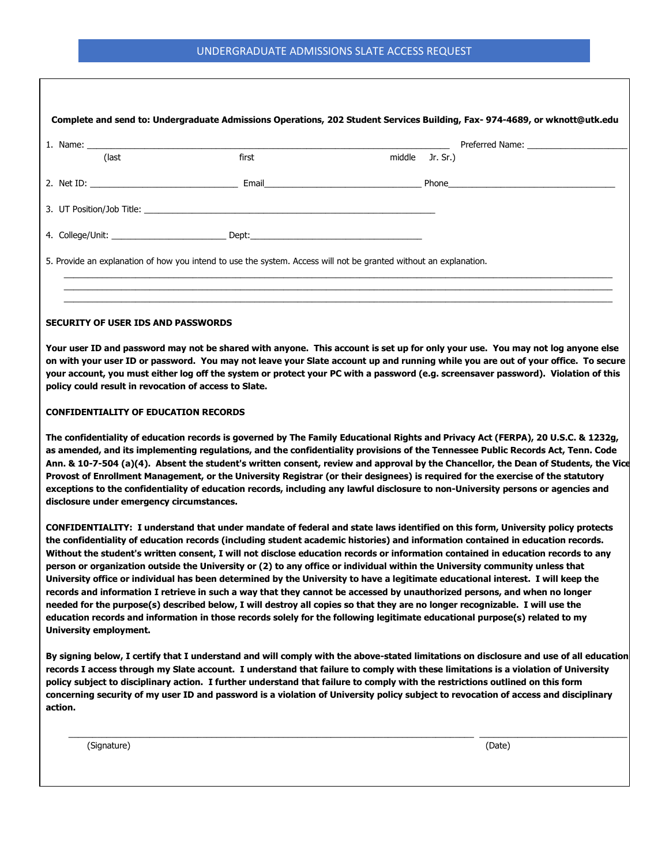|       | 1. Name: example, and the same of the same of the same of the same of the same of the same of the same of the same of the same of the same of the same of the same of the same of the same of the same of the same of the same |                                                                                                                   |
|-------|--------------------------------------------------------------------------------------------------------------------------------------------------------------------------------------------------------------------------------|-------------------------------------------------------------------------------------------------------------------|
| (last | first                                                                                                                                                                                                                          | middle Jr. Sr.)                                                                                                   |
|       |                                                                                                                                                                                                                                |                                                                                                                   |
|       |                                                                                                                                                                                                                                |                                                                                                                   |
|       | 4. College/Unit: _____________________________Dept: ____________________________                                                                                                                                               |                                                                                                                   |
|       |                                                                                                                                                                                                                                | 5. Provide an explanation of how you intend to use the system. Access will not be granted without an explanation. |
|       |                                                                                                                                                                                                                                |                                                                                                                   |

## **CONFIDENTIALITY OF EDUCATION RECORDS**

**The confidentiality of education records is governed by The Family Educational Rights and Privacy Act (FERPA), 20 U.S.C. & 1232g, as amended, and its implementing regulations, and the confidentiality provisions of the Tennessee Public Records Act, Tenn. Code Ann. & 10-7-504 (a)(4). Absent the student's written consent, review and approval by the Chancellor, the Dean of Students, the Vice Provost of Enrollment Management, or the University Registrar (or their designees) is required for the exercise of the statutory exceptions to the confidentiality of education records, including any lawful disclosure to non-University persons or agencies and disclosure under emergency circumstances.** 

**CONFIDENTIALITY: I understand that under mandate of federal and state laws identified on this form, University policy protects the confidentiality of education records (including student academic histories) and information contained in education records. Without the student's written consent, I will not disclose education records or information contained in education records to any person or organization outside the University or (2) to any office or individual within the University community unless that University office or individual has been determined by the University to have a legitimate educational interest. I will keep the records and information I retrieve in such a way that they cannot be accessed by unauthorized persons, and when no longer needed for the purpose(s) described below, I will destroy all copies so that they are no longer recognizable. I will use the education records and information in those records solely for the following legitimate educational purpose(s) related to my University employment.** 

**By signing below, I certify that I understand and will comply with the above-stated limitations on disclosure and use of all education records I access through my Slate account. I understand that failure to comply with these limitations is a violation of University policy subject to disciplinary action. I further understand that failure to comply with the restrictions outlined on this form concerning security of my user ID and password is a violation of University policy subject to revocation of access and disciplinary action.** 

\_\_\_\_\_\_\_\_\_\_\_\_\_\_\_\_\_\_\_\_\_\_\_\_\_\_\_\_\_\_\_\_\_\_\_\_\_\_\_\_\_\_\_\_\_\_\_\_\_\_\_\_\_\_\_\_\_\_\_\_\_\_\_\_\_\_\_\_\_\_\_\_\_\_\_\_\_\_\_\_\_\_\_\_\_ \_\_\_\_\_\_\_\_\_\_\_\_\_\_\_\_\_\_\_\_\_\_\_\_\_\_\_\_\_\_\_

(Signature) (Date)